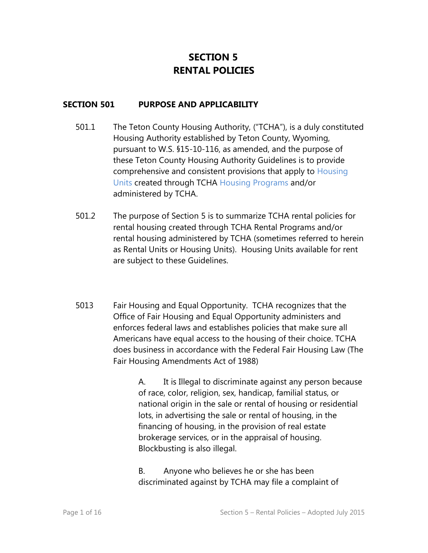# **SECTION 5 RENTAL POLICIES**

#### **SECTION 501 PURPOSE AND APPLICABILITY**

- 501.1 The Teton County Housing Authority, ("TCHA"), is a duly constituted Housing Authority established by Teton County, Wyoming, pursuant to W.S. §15-10-116, as amended, and the purpose of these Teton County Housing Authority Guidelines is to provide comprehensive and consistent provisions that apply to Housing Units created through TCHA Housing Programs and/or administered by TCHA.
- 501.2 The purpose of Section 5 is to summarize TCHA rental policies for rental housing created through TCHA Rental Programs and/or rental housing administered by TCHA (sometimes referred to herein as Rental Units or Housing Units). Housing Units available for rent are subject to these Guidelines.
- 5013 Fair Housing and Equal Opportunity. TCHA recognizes that the Office of Fair Housing and Equal Opportunity administers and enforces [federal laws](http://www.hud.gov/offices/fheo/FHLaws/index.cfm) and establishes policies that make sure all Americans have equal access to the housing of their choice. TCHA does business in accordance with the Federal Fair Housing Law (The Fair Housing Amendments Act of 1988)

A. It is Illegal to discriminate against any person because of race, color, religion, sex, handicap, familial status, or national origin in the sale or rental of housing or residential lots, in advertising the sale or rental of housing, in the financing of housing, in the provision of real estate brokerage services, or in the appraisal of housing. Blockbusting is also illegal.

B. Anyone who believes he or she has been discriminated against by TCHA may file a complaint of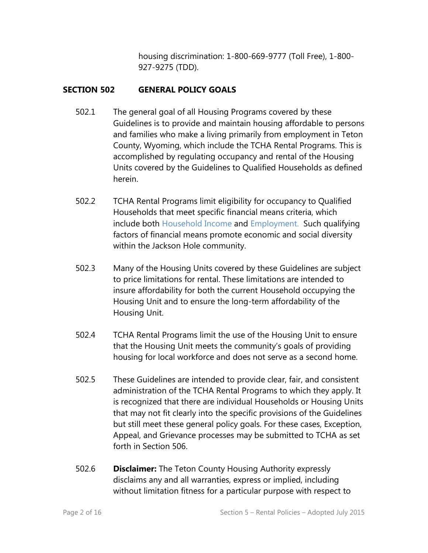housing discrimination: 1-800-669-9777 (Toll Free), 1-800- 927-9275 (TDD).

# **SECTION 502 GENERAL POLICY GOALS**

- 502.1 The general goal of all Housing Programs covered by these Guidelines is to provide and maintain housing affordable to persons and families who make a living primarily from employment in Teton County, Wyoming, which include the TCHA Rental Programs. This is accomplished by regulating occupancy and rental of the Housing Units covered by the Guidelines to Qualified Households as defined herein.
- 502.2 TCHA Rental Programs limit eligibility for occupancy to Qualified Households that meet specific financial means criteria, which include both Household Income and Employment. Such qualifying factors of financial means promote economic and social diversity within the Jackson Hole community.
- 502.3 Many of the Housing Units covered by these Guidelines are subject to price limitations for rental. These limitations are intended to insure affordability for both the current Household occupying the Housing Unit and to ensure the long-term affordability of the Housing Unit.
- 502.4 TCHA Rental Programs limit the use of the Housing Unit to ensure that the Housing Unit meets the community's goals of providing housing for local workforce and does not serve as a second home.
- 502.5 These Guidelines are intended to provide clear, fair, and consistent administration of the TCHA Rental Programs to which they apply. It is recognized that there are individual Households or Housing Units that may not fit clearly into the specific provisions of the Guidelines but still meet these general policy goals. For these cases, Exception, Appeal, and Grievance processes may be submitted to TCHA as set forth in Section 506.
- 502.6 **Disclaimer:** The Teton County Housing Authority expressly disclaims any and all warranties, express or implied, including without limitation fitness for a particular purpose with respect to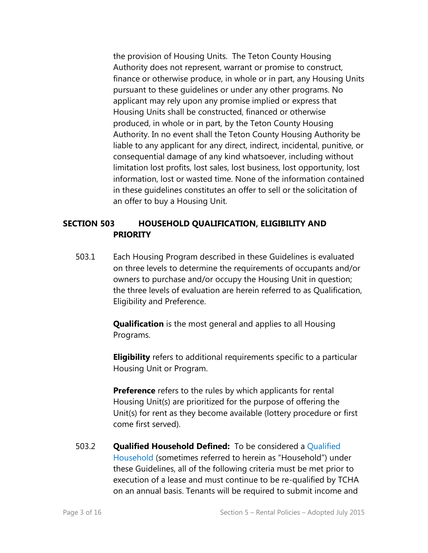the provision of Housing Units. The Teton County Housing Authority does not represent, warrant or promise to construct, finance or otherwise produce, in whole or in part, any Housing Units pursuant to these guidelines or under any other programs. No applicant may rely upon any promise implied or express that Housing Units shall be constructed, financed or otherwise produced, in whole or in part, by the Teton County Housing Authority. In no event shall the Teton County Housing Authority be liable to any applicant for any direct, indirect, incidental, punitive, or consequential damage of any kind whatsoever, including without limitation lost profits, lost sales, lost business, lost opportunity, lost information, lost or wasted time. None of the information contained in these guidelines constitutes an offer to sell or the solicitation of an offer to buy a Housing Unit.

### **SECTION 503 HOUSEHOLD QUALIFICATION, ELIGIBILITY AND PRIORITY**

503.1 Each Housing Program described in these Guidelines is evaluated on three levels to determine the requirements of occupants and/or owners to purchase and/or occupy the Housing Unit in question; the three levels of evaluation are herein referred to as Qualification, Eligibility and Preference.

> **Qualification** is the most general and applies to all Housing Programs.

**Eligibility** refers to additional requirements specific to a particular Housing Unit or Program.

**Preference** refers to the rules by which applicants for rental Housing Unit(s) are prioritized for the purpose of offering the Unit(s) for rent as they become available (lottery procedure or first come first served).

503.2 **Qualified Household Defined:** To be considered a Qualified Household (sometimes referred to herein as "Household") under these Guidelines, all of the following criteria must be met prior to execution of a lease and must continue to be re-qualified by TCHA on an annual basis. Tenants will be required to submit income and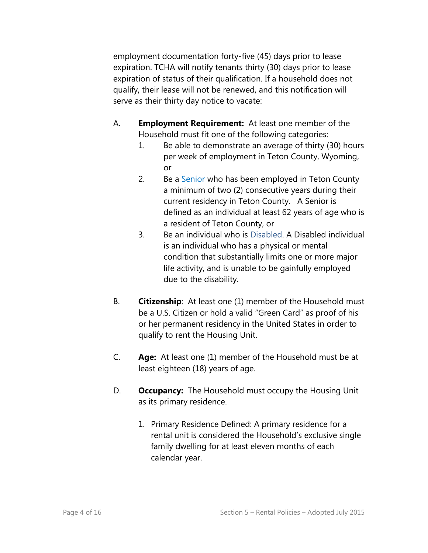employment documentation forty-five (45) days prior to lease expiration. TCHA will notify tenants thirty (30) days prior to lease expiration of status of their qualification. If a household does not qualify, their lease will not be renewed, and this notification will serve as their thirty day notice to vacate:

- A. **Employment Requirement:** At least one member of the Household must fit one of the following categories:
	- 1. Be able to demonstrate an average of thirty (30) hours per week of employment in Teton County, Wyoming, or
	- 2. Be a Senior who has been employed in Teton County a minimum of two (2) consecutive years during their current residency in Teton County. A Senior is defined as an individual at least 62 years of age who is a resident of Teton County, or
	- 3. Be an individual who is Disabled. A Disabled individual is an individual who has a physical or mental condition that substantially limits one or more major life activity, and is unable to be gainfully employed due to the disability.
- B. **Citizenship**: At least one (1) member of the Household must be a U.S. Citizen or hold a valid "Green Card" as proof of his or her permanent residency in the United States in order to qualify to rent the Housing Unit.
- C. **Age:** At least one (1) member of the Household must be at least eighteen (18) years of age.
- D. **Occupancy:** The Household must occupy the Housing Unit as its primary residence.
	- 1. Primary Residence Defined: A primary residence for a rental unit is considered the Household's exclusive single family dwelling for at least eleven months of each calendar year.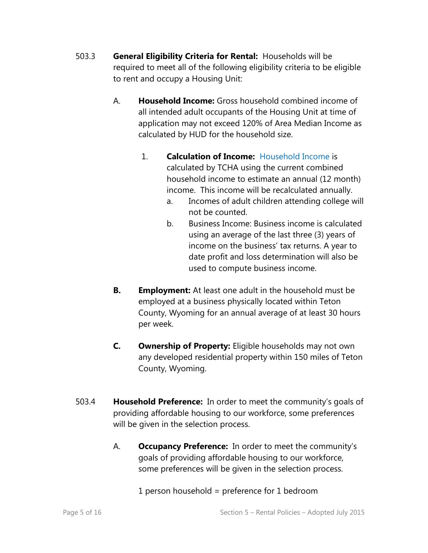- 503.3 **General Eligibility Criteria for Rental:** Households will be required to meet all of the following eligibility criteria to be eligible to rent and occupy a Housing Unit:
	- A. **Household Income:** Gross household combined income of all intended adult occupants of the Housing Unit at time of application may not exceed 120% of Area Median Income as calculated by HUD for the household size.
		- 1. **Calculation of Income:** Household Income is calculated by TCHA using the current combined household income to estimate an annual (12 month) income. This income will be recalculated annually.
			- a. Incomes of adult children attending college will not be counted.
			- b. Business Income: Business income is calculated using an average of the last three (3) years of income on the business' tax returns. A year to date profit and loss determination will also be used to compute business income.
	- **B. Employment:** At least one adult in the household must be employed at a business physically located within Teton County, Wyoming for an annual average of at least 30 hours per week.
	- **C. Ownership of Property:** Eligible households may not own any developed residential property within 150 miles of Teton County, Wyoming.
- 503.4 **Household Preference:** In order to meet the community's goals of providing affordable housing to our workforce, some preferences will be given in the selection process.
	- A. **Occupancy Preference:** In order to meet the community's goals of providing affordable housing to our workforce, some preferences will be given in the selection process.

1 person household = preference for 1 bedroom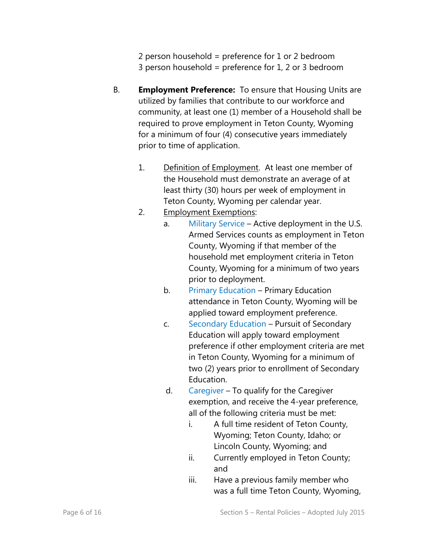2 person household = preference for 1 or 2 bedroom 3 person household = preference for  $1, 2$  or 3 bedroom

- B. **Employment Preference:** To ensure that Housing Units are utilized by families that contribute to our workforce and community, at least one (1) member of a Household shall be required to prove employment in Teton County, Wyoming for a minimum of four (4) consecutive years immediately prior to time of application.
	- 1. Definition of Employment. At least one member of the Household must demonstrate an average of at least thirty (30) hours per week of employment in Teton County, Wyoming per calendar year.

# 2. Employment Exemptions:

- a. Military Service Active deployment in the U.S. Armed Services counts as employment in Teton County, Wyoming if that member of the household met employment criteria in Teton County, Wyoming for a minimum of two years prior to deployment.
- b. Primary Education Primary Education attendance in Teton County, Wyoming will be applied toward employment preference.
- c. Secondary Education Pursuit of Secondary Education will apply toward employment preference if other employment criteria are met in Teton County, Wyoming for a minimum of two (2) years prior to enrollment of Secondary Education.
- d. Caregiver To qualify for the Caregiver exemption, and receive the 4-year preference, all of the following criteria must be met:
	- i. A full time resident of Teton County, Wyoming; Teton County, Idaho; or Lincoln County, Wyoming; and
	- ii. Currently employed in Teton County; and
	- iii. Have a previous family member who was a full time Teton County, Wyoming,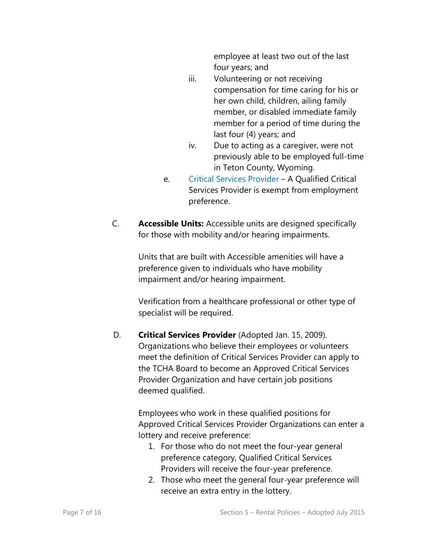employee at least two out of the last four years; and

- iii. Volunteering or not receiving compensation for time caring for his or her own child, children, ailing family member, or disabled immediate family member for a period of time during the last four (4) years; and
- iv. Due to acting as a caregiver, were not previously able to be employed full-time in Teton County, Wyoming.
- e. Critical Services Provider A Qualified Critical Services Provider is exempt from employment preference.
- C. **Accessible Units:** Accessible units are designed specifically for those with mobility and/or hearing impairments.

Units that are built with Accessible amenities will have a preference given to individuals who have mobility impairment and/or hearing impairment.

Verification from a healthcare professional or other type of specialist will be required.

D. **Critical Services Provider** (Adopted Jan. 15, 2009). Organizations who believe their employees or volunteers meet the definition of Critical Services Provider can apply to the TCHA Board to become an Approved Critical Services Provider Organization and have certain job positions deemed qualified.

> Employees who work in these qualified positions for Approved Critical Services Provider Organizations can enter a lottery and receive preference:

- 1. For those who do not meet the four-year general preference category, Qualified Critical Services Providers will receive the four-year preference.
- 2. Those who meet the general four-year preference will receive an extra entry in the lottery.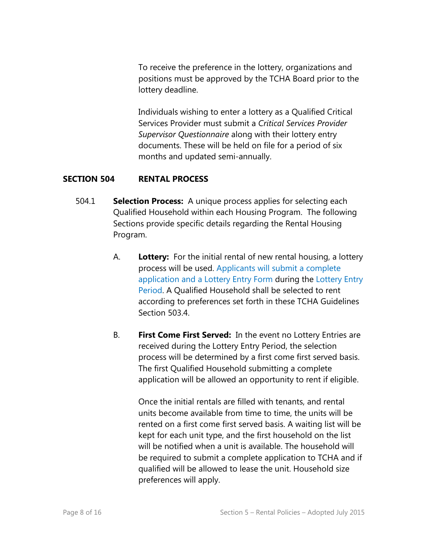To receive the preference in the lottery, organizations and positions must be approved by the TCHA Board prior to the lottery deadline.

Individuals wishing to enter a lottery as a Qualified Critical Services Provider must submit a *Critical Services Provider Supervisor Questionnaire* along with their lottery entry documents. These will be held on file for a period of six months and updated semi-annually.

# **SECTION 504 RENTAL PROCESS**

- 504.1 **Selection Process:** A unique process applies for selecting each Qualified Household within each Housing Program. The following Sections provide specific details regarding the Rental Housing Program.
	- A. **Lottery:** For the initial rental of new rental housing, a lottery process will be used. Applicants will submit a complete application and a Lottery Entry Form during the Lottery Entry Period. A Qualified Household shall be selected to rent according to preferences set forth in these TCHA Guidelines Section 503.4.
	- B. **First Come First Served:** In the event no Lottery Entries are received during the Lottery Entry Period, the selection process will be determined by a first come first served basis. The first Qualified Household submitting a complete application will be allowed an opportunity to rent if eligible.

Once the initial rentals are filled with tenants, and rental units become available from time to time, the units will be rented on a first come first served basis. A waiting list will be kept for each unit type, and the first household on the list will be notified when a unit is available. The household will be required to submit a complete application to TCHA and if qualified will be allowed to lease the unit. Household size preferences will apply.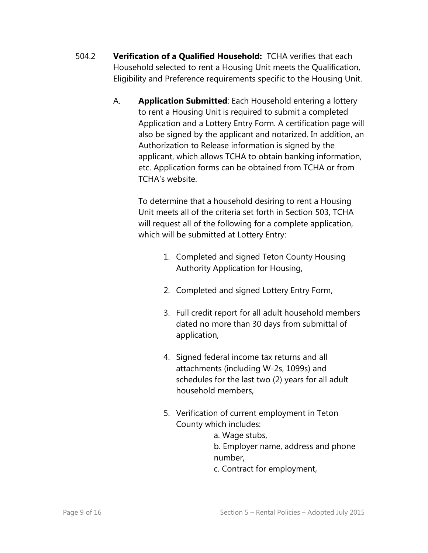- 504.2 **Verification of a Qualified Household:** TCHA verifies that each Household selected to rent a Housing Unit meets the Qualification, Eligibility and Preference requirements specific to the Housing Unit.
	- A. **Application Submitted**: Each Household entering a lottery to rent a Housing Unit is required to submit a completed Application and a Lottery Entry Form. A certification page will also be signed by the applicant and notarized. In addition, an Authorization to Release information is signed by the applicant, which allows TCHA to obtain banking information, etc. Application forms can be obtained from TCHA or from TCHA's website.

To determine that a household desiring to rent a Housing Unit meets all of the criteria set forth in Section 503, TCHA will request all of the following for a complete application, which will be submitted at Lottery Entry:

- 1. Completed and signed Teton County Housing Authority Application for Housing,
- 2. Completed and signed Lottery Entry Form,
- 3. Full credit report for all adult household members dated no more than 30 days from submittal of application,
- 4. Signed federal income tax returns and all attachments (including W-2s, 1099s) and schedules for the last two (2) years for all adult household members,
- 5. Verification of current employment in Teton County which includes:
	- a. Wage stubs,

b. Employer name, address and phone number,

c. Contract for employment,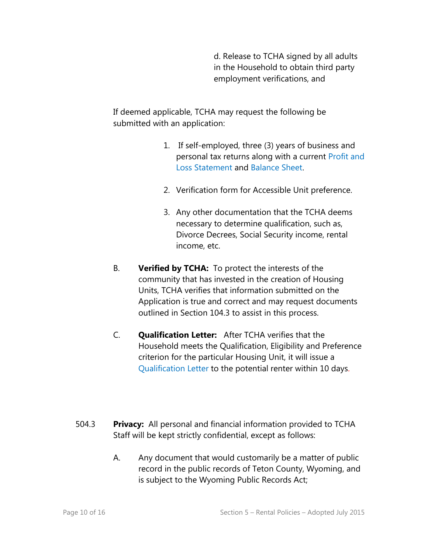d. Release to TCHA signed by all adults in the Household to obtain third party employment verifications, and

If deemed applicable, TCHA may request the following be submitted with an application:

- 1. If self-employed, three (3) years of business and personal tax returns along with a current Profit and Loss Statement and Balance Sheet.
- 2. Verification form for Accessible Unit preference.
- 3. Any other documentation that the TCHA deems necessary to determine qualification, such as, Divorce Decrees, Social Security income, rental income, etc.
- B. **Verified by TCHA:** To protect the interests of the community that has invested in the creation of Housing Units, TCHA verifies that information submitted on the Application is true and correct and may request documents outlined in Section 104.3 to assist in this process.
- C. **Qualification Letter:** After TCHA verifies that the Household meets the Qualification, Eligibility and Preference criterion for the particular Housing Unit, it will issue a Qualification Letter to the potential renter within 10 days.
- 504.3 **Privacy:** All personal and financial information provided to TCHA Staff will be kept strictly confidential, except as follows:
	- A. Any document that would customarily be a matter of public record in the public records of Teton County, Wyoming, and is subject to the Wyoming Public Records Act;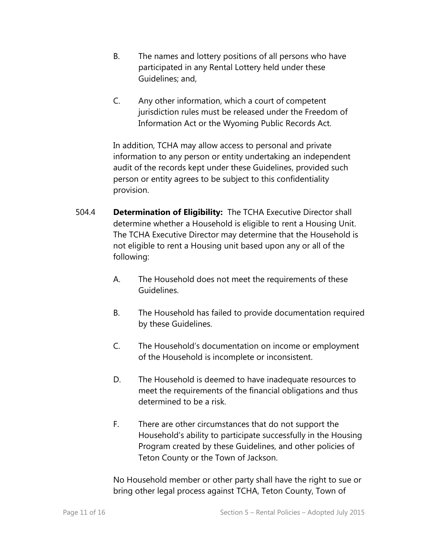- B. The names and lottery positions of all persons who have participated in any Rental Lottery held under these Guidelines; and,
- C. Any other information, which a court of competent jurisdiction rules must be released under the Freedom of Information Act or the Wyoming Public Records Act.

In addition, TCHA may allow access to personal and private information to any person or entity undertaking an independent audit of the records kept under these Guidelines, provided such person or entity agrees to be subject to this confidentiality provision.

- 504.4 **Determination of Eligibility:** The TCHA Executive Director shall determine whether a Household is eligible to rent a Housing Unit. The TCHA Executive Director may determine that the Household is not eligible to rent a Housing unit based upon any or all of the following:
	- A. The Household does not meet the requirements of these Guidelines.
	- B. The Household has failed to provide documentation required by these Guidelines.
	- C. The Household's documentation on income or employment of the Household is incomplete or inconsistent.
	- D. The Household is deemed to have inadequate resources to meet the requirements of the financial obligations and thus determined to be a risk.
	- F. There are other circumstances that do not support the Household's ability to participate successfully in the Housing Program created by these Guidelines, and other policies of Teton County or the Town of Jackson.

No Household member or other party shall have the right to sue or bring other legal process against TCHA, Teton County, Town of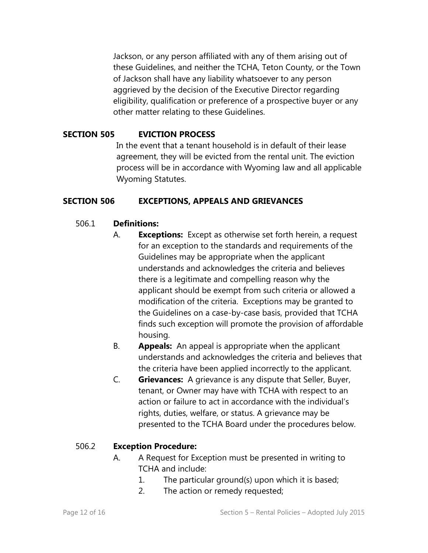Jackson, or any person affiliated with any of them arising out of these Guidelines, and neither the TCHA, Teton County, or the Town of Jackson shall have any liability whatsoever to any person aggrieved by the decision of the Executive Director regarding eligibility, qualification or preference of a prospective buyer or any other matter relating to these Guidelines.

#### **SECTION 505 EVICTION PROCESS**

In the event that a tenant household is in default of their lease agreement, they will be evicted from the rental unit. The eviction process will be in accordance with Wyoming law and all applicable Wyoming Statutes.

#### **SECTION 506 EXCEPTIONS, APPEALS AND GRIEVANCES**

#### 506.1 **Definitions:**

- A. **Exceptions:** Except as otherwise set forth herein, a request for an exception to the standards and requirements of the Guidelines may be appropriate when the applicant understands and acknowledges the criteria and believes there is a legitimate and compelling reason why the applicant should be exempt from such criteria or allowed a modification of the criteria. Exceptions may be granted to the Guidelines on a case-by-case basis, provided that TCHA finds such exception will promote the provision of affordable housing.
- B. **Appeals:** An appeal is appropriate when the applicant understands and acknowledges the criteria and believes that the criteria have been applied incorrectly to the applicant.
- C. **Grievances:** A grievance is any dispute that Seller, Buyer, tenant, or Owner may have with TCHA with respect to an action or failure to act in accordance with the individual's rights, duties, welfare, or status. A grievance may be presented to the TCHA Board under the procedures below.

#### 506.2 **Exception Procedure:**

- A. A Request for Exception must be presented in writing to TCHA and include:
	- 1. The particular ground(s) upon which it is based;
	- 2. The action or remedy requested;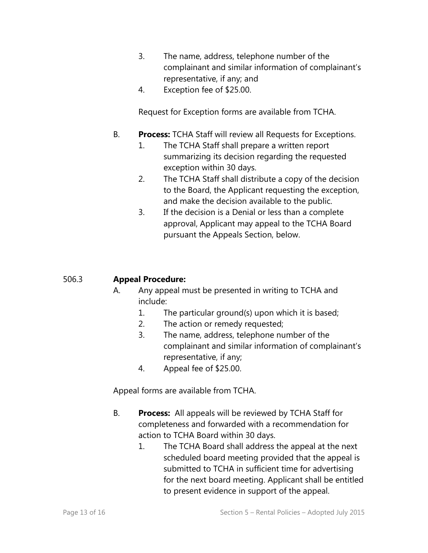- 3. The name, address, telephone number of the complainant and similar information of complainant's representative, if any; and
- 4. Exception fee of \$25.00.

Request for Exception forms are available from TCHA.

- B. **Process:** TCHA Staff will review all Requests for Exceptions.
	- 1. The TCHA Staff shall prepare a written report summarizing its decision regarding the requested exception within 30 days.
	- 2. The TCHA Staff shall distribute a copy of the decision to the Board, the Applicant requesting the exception, and make the decision available to the public.
	- 3. If the decision is a Denial or less than a complete approval, Applicant may appeal to the TCHA Board pursuant the Appeals Section, below.

# 506.3 **Appeal Procedure:**

- A. Any appeal must be presented in writing to TCHA and include:
	- 1. The particular ground(s) upon which it is based;
	- 2. The action or remedy requested;
	- 3. The name, address, telephone number of the complainant and similar information of complainant's representative, if any;
	- 4. Appeal fee of \$25.00.

Appeal forms are available from TCHA.

- B. **Process:** All appeals will be reviewed by TCHA Staff for completeness and forwarded with a recommendation for action to TCHA Board within 30 days.
	- 1. The TCHA Board shall address the appeal at the next scheduled board meeting provided that the appeal is submitted to TCHA in sufficient time for advertising for the next board meeting. Applicant shall be entitled to present evidence in support of the appeal.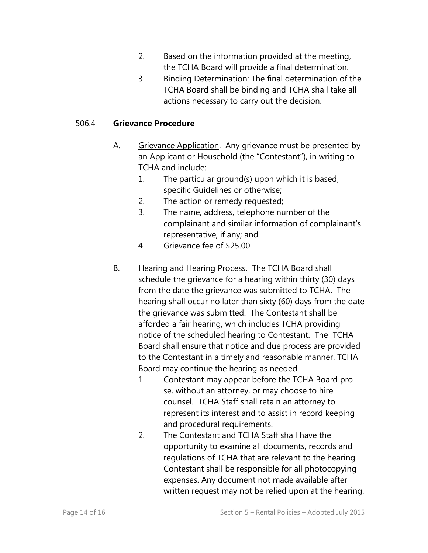- 2. Based on the information provided at the meeting, the TCHA Board will provide a final determination.
- 3. Binding Determination: The final determination of the TCHA Board shall be binding and TCHA shall take all actions necessary to carry out the decision.

### 506.4 **Grievance Procedure**

- A. Grievance Application. Any grievance must be presented by an Applicant or Household (the "Contestant"), in writing to TCHA and include:
	- 1. The particular ground(s) upon which it is based, specific Guidelines or otherwise;
	- 2. The action or remedy requested;
	- 3. The name, address, telephone number of the complainant and similar information of complainant's representative, if any; and
	- 4. Grievance fee of \$25.00.
- B. Hearing and Hearing Process. The TCHA Board shall schedule the grievance for a hearing within thirty (30) days from the date the grievance was submitted to TCHA. The hearing shall occur no later than sixty (60) days from the date the grievance was submitted. The Contestant shall be afforded a fair hearing, which includes TCHA providing notice of the scheduled hearing to Contestant. The TCHA Board shall ensure that notice and due process are provided to the Contestant in a timely and reasonable manner. TCHA Board may continue the hearing as needed.
	- 1. Contestant may appear before the TCHA Board pro se, without an attorney, or may choose to hire counsel. TCHA Staff shall retain an attorney to represent its interest and to assist in record keeping and procedural requirements.
	- 2. The Contestant and TCHA Staff shall have the opportunity to examine all documents, records and regulations of TCHA that are relevant to the hearing. Contestant shall be responsible for all photocopying expenses. Any document not made available after written request may not be relied upon at the hearing.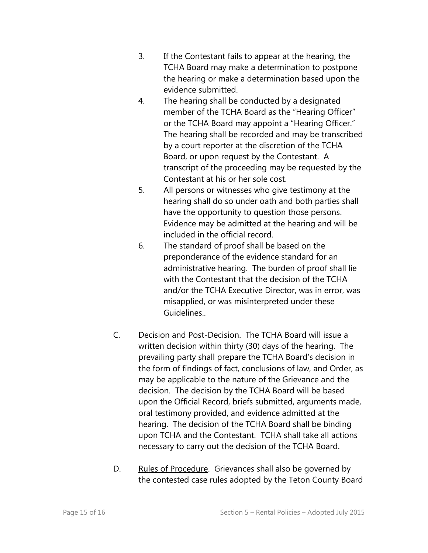- 3. If the Contestant fails to appear at the hearing, the TCHA Board may make a determination to postpone the hearing or make a determination based upon the evidence submitted.
- 4. The hearing shall be conducted by a designated member of the TCHA Board as the "Hearing Officer" or the TCHA Board may appoint a "Hearing Officer." The hearing shall be recorded and may be transcribed by a court reporter at the discretion of the TCHA Board, or upon request by the Contestant. A transcript of the proceeding may be requested by the Contestant at his or her sole cost.
- 5. All persons or witnesses who give testimony at the hearing shall do so under oath and both parties shall have the opportunity to question those persons. Evidence may be admitted at the hearing and will be included in the official record.
- 6. The standard of proof shall be based on the preponderance of the evidence standard for an administrative hearing. The burden of proof shall lie with the Contestant that the decision of the TCHA and/or the TCHA Executive Director, was in error, was misapplied, or was misinterpreted under these Guidelines..
- C. Decision and Post-Decision. The TCHA Board will issue a written decision within thirty (30) days of the hearing. The prevailing party shall prepare the TCHA Board's decision in the form of findings of fact, conclusions of law, and Order, as may be applicable to the nature of the Grievance and the decision. The decision by the TCHA Board will be based upon the Official Record, briefs submitted, arguments made, oral testimony provided, and evidence admitted at the hearing. The decision of the TCHA Board shall be binding upon TCHA and the Contestant. TCHA shall take all actions necessary to carry out the decision of the TCHA Board.
- D. Rules of Procedure. Grievances shall also be governed by the contested case rules adopted by the Teton County Board